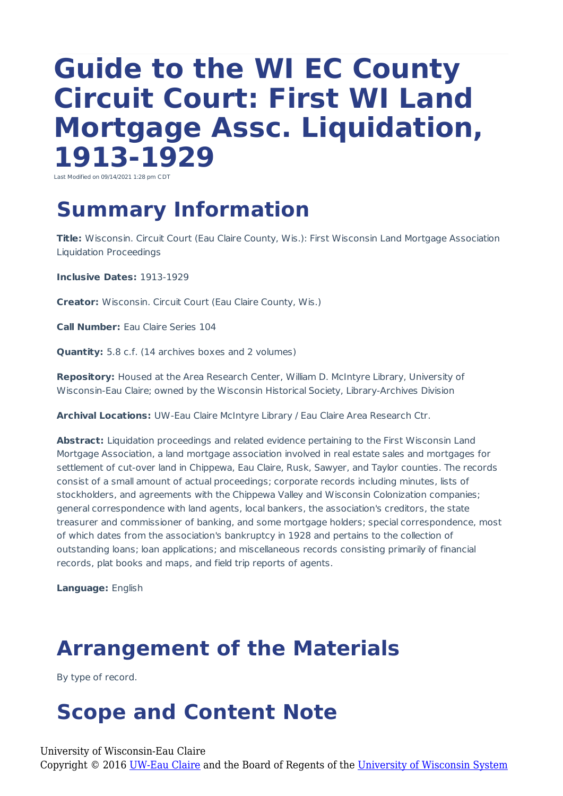# **Guide to the WI EC County Circuit Court: First WI Land Mortgage Assc. Liquidation, 1913-1929**

Last Modified on 09/14/2021 1:28 pm CDT

## **Summary Information**

**Title:** Wisconsin. Circuit Court (Eau Claire County, Wis.): First Wisconsin Land Mortgage Association Liquidation Proceedings

**Inclusive Dates:** 1913-1929

**Creator:** Wisconsin. Circuit Court (Eau Claire County, Wis.)

**Call Number:** Eau Claire Series 104

**Quantity:** 5.8 c.f. (14 archives boxes and 2 volumes)

**Repository:** Housed at the Area Research Center, William D. McIntyre Library, University of Wisconsin-Eau Claire; owned by the Wisconsin Historical Society, Library-Archives Division

**Archival Locations:** UW-Eau Claire McIntyre Library / Eau Claire Area Research Ctr.

Abstract: Liquidation proceedings and related evidence pertaining to the First Wisconsin Land Mortgage Association, a land mortgage association involved in real estate sales and mortgages for settlement of cut-over land in Chippewa, Eau Claire, Rusk, Sawyer, and Taylor counties. The records consist of a small amount of actual proceedings; corporate records including minutes, lists of stockholders, and agreements with the Chippewa Valley and Wisconsin Colonization companies; general correspondence with land agents, local bankers, the association's creditors, the state treasurer and commissioner of banking, and some mortgage holders; special correspondence, most of which dates from the association's bankruptcy in 1928 and pertains to the collection of outstanding loans; loan applications; and miscellaneous records consisting primarily of financial records, plat books and maps, and field trip reports of agents.

**Language:** English

### **Arrangement of the Materials**

By type of record.

### **Scope and Content Note**

University of Wisconsin-Eau Claire

Copyright © 2016 [UW-Eau Claire](http://www.uwec.edu) and the Board of Regents of the [University of Wisconsin System](http://www.uwsa.edu/)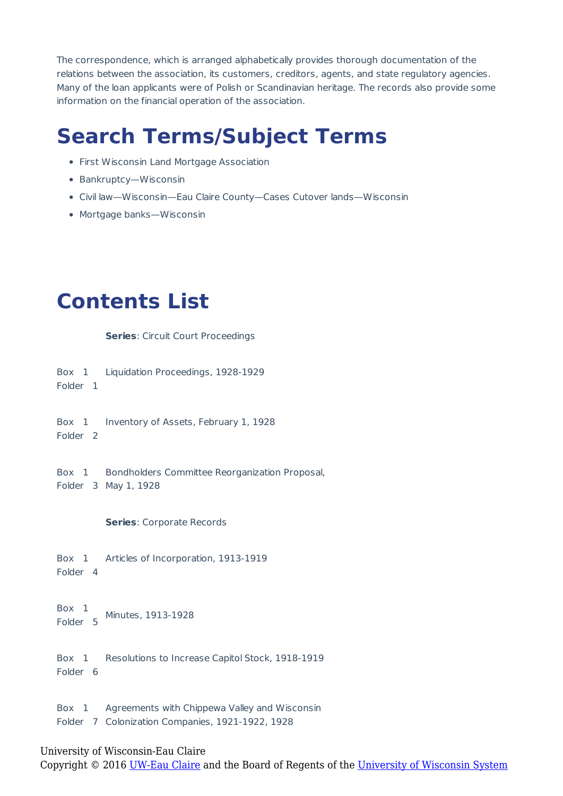The correspondence, which is arranged alphabetically provides thorough documentation of the relations between the association, its customers, creditors, agents, and state regulatory agencies. Many of the loan applicants were of Polish or Scandinavian heritage. The records also provide some information on the financial operation of the association.

## **Search Terms/Subject Terms**

- First Wisconsin Land Mortgage Association
- Bankruptcy-Wisconsin
- Civil law—Wisconsin—Eau Claire County—Cases Cutover lands—Wisconsin
- Mortgage banks—Wisconsin

#### **Contents List**

**Series**: Circuit Court Proceedings

Box 1 Liquidation Proceedings, 1928-1929

Folder 1

Box 1 Inventory of Assets, February 1, 1928

Folder 2

Box 1 Folder 3 May 1, 1928 Bondholders Committee Reorganization Proposal,

**Series**: Corporate Records

Box 1 Folder 4 Articles of Incorporation, 1913-1919

Box 1 Folder 5 Minutes, 1913-1928

Box 1 Folder 6 Resolutions to Increase Capitol Stock, 1918-1919

Box 1 Folder 7 Colonization Companies, 1921-1922, 1928 Agreements with Chippewa Valley and Wisconsin

#### University of Wisconsin-Eau Claire

Copyright © 2016 [UW-Eau Claire](http://www.uwec.edu) and the Board of Regents of the [University of Wisconsin System](http://www.uwsa.edu/)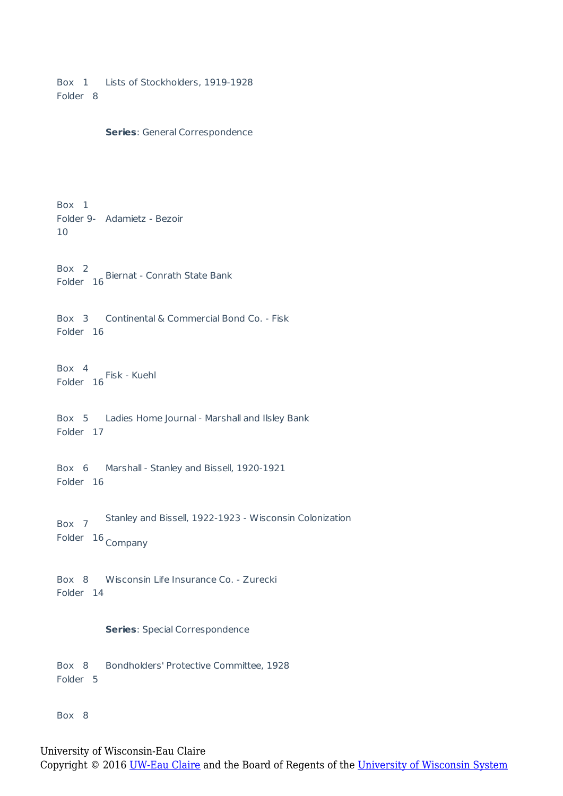Box 1 Lists of Stockholders, 1919-1928 Folder 8

```
Series: General Correspondence
```
Box 1 Folder 9- Adamietz - Bezoir 10

Box 2 Folder 16 Biernat - Conrath State Bank

Box 3 Continental & Commercial Bond Co. - Fisk Folder 16

Box 4 Folder 16 Fisk - Kuehl

Box 5 Ladies Home Journal - Marshall and Ilsley Bank Folder 17

Box 6 Folder 16 Marshall - Stanley and Bissell, 1920-1921

Box 7 Folder 16 Company Stanley and Bissell, 1922-1923 - Wisconsin Colonization

Box 8 Wisconsin Life Insurance Co. - Zurecki Folder 14

#### **Series**: Special Correspondence

Box 8 Folder 5 Bondholders' Protective Committee, 1928

Box 8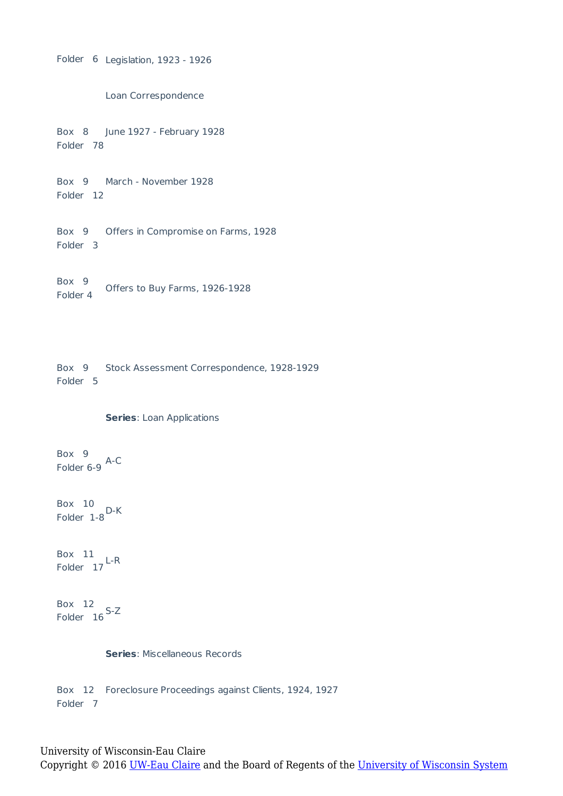Folder 6 Legislation, 1923 - 1926

Loan Correspondence

Box 8 June 1927 - February 1928 Folder 78

Box 9 March - November 1928 Folder 12

Box 9 Offers in Compromise on Farms, 1928 Folder 3

Box 9 Folder 4 Offers to Buy Farms, 1926-1928

Box 9 Stock Assessment Correspondence, 1928-1929 Folder 5

#### **Series**: Loan Applications

Box 9 Folder 6-9 A-C

Box 10 Folder 1-8<sup>D-K</sup>

Box 11 Folder 17<sup>L-R</sup>

Box 12 Folder 16<sup>S-Z</sup>

**Series**: Miscellaneous Records

Box 12 Foreclosure Proceedings against Clients, 1924, 1927 Folder 7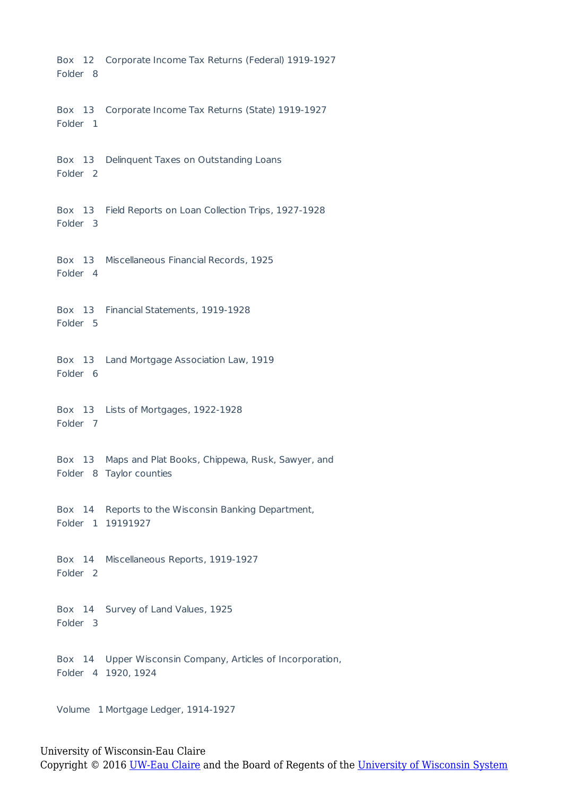Box 12 Corporate Income Tax Returns (Federal) 1919-1927 Folder 8

Box 13 Corporate Income Tax Returns (State) 1919-1927 Folder 1

Box 13 Delinquent Taxes on Outstanding Loans Folder 2

Box 13 Field Reports on Loan Collection Trips, 1927-1928 Folder 3

Box 13 Miscellaneous Financial Records, 1925 Folder 4

Box 13 Financial Statements, 1919-1928 Folder 5

Box 13 Land Mortgage Association Law, 1919 Folder 6

Box 13 Lists of Mortgages, 1922-1928 Folder 7

Box 13 Maps and Plat Books, Chippewa, Rusk, Sawyer, and Folder 8 Taylor counties

Box 14 Reports to the Wisconsin Banking Department, Folder 1 19191927

Box 14 Miscellaneous Reports, 1919-1927 Folder 2

Box 14 Survey of Land Values, 1925 Folder 3

Box 14 Upper Wisconsin Company, Articles of Incorporation, Folder 4 1920, 1924

Volume 1 Mortgage Ledger, 1914-1927